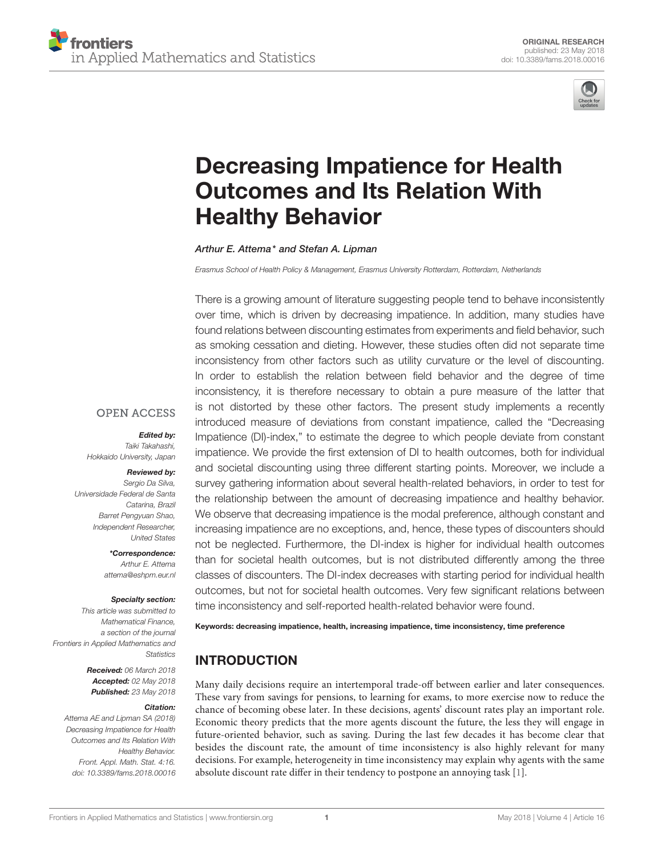

# [Decreasing Impatience for Health](https://www.frontiersin.org/articles/10.3389/fams.2018.00016/full) Outcomes and Its Relation With Healthy Behavior

[Arthur E. Attema\\*](http://loop.frontiersin.org/people/498559/overview) and Stefan A. Lipman

*Erasmus School of Health Policy & Management, Erasmus University Rotterdam, Rotterdam, Netherlands*

There is a growing amount of literature suggesting people tend to behave inconsistently over time, which is driven by decreasing impatience. In addition, many studies have found relations between discounting estimates from experiments and field behavior, such as smoking cessation and dieting. However, these studies often did not separate time inconsistency from other factors such as utility curvature or the level of discounting. In order to establish the relation between field behavior and the degree of time inconsistency, it is therefore necessary to obtain a pure measure of the latter that is not distorted by these other factors. The present study implements a recently introduced measure of deviations from constant impatience, called the "Decreasing Impatience (DI)-index," to estimate the degree to which people deviate from constant impatience. We provide the first extension of DI to health outcomes, both for individual and societal discounting using three different starting points. Moreover, we include a survey gathering information about several health-related behaviors, in order to test for the relationship between the amount of decreasing impatience and healthy behavior. We observe that decreasing impatience is the modal preference, although constant and increasing impatience are no exceptions, and, hence, these types of discounters should not be neglected. Furthermore, the DI-index is higher for individual health outcomes than for societal health outcomes, but is not distributed differently among the three classes of discounters. The DI-index decreases with starting period for individual health outcomes, but not for societal health outcomes. Very few significant relations between time inconsistency and self-reported health-related behavior were found.

# **OPEN ACCESS** Edited by:

*Taiki Takahashi, Hokkaido University, Japan*

#### Reviewed by:

*Sergio Da Silva, Universidade Federal de Santa Catarina, Brazil Barret Pengyuan Shao, Independent Researcher, United States*

> \*Correspondence: *Arthur E. Attema [attema@eshpm.eur.nl](mailto:attema@eshpm.eur.nl)*

#### Specialty section:

*This article was submitted to Mathematical Finance, a section of the journal Frontiers in Applied Mathematics and Statistics*

> Received: *06 March 2018* Accepted: *02 May 2018* Published: *23 May 2018*

#### Citation:

*Attema AE and Lipman SA (2018) Decreasing Impatience for Health Outcomes and Its Relation With Healthy Behavior. Front. Appl. Math. Stat. 4:16. doi: [10.3389/fams.2018.00016](https://doi.org/10.3389/fams.2018.00016)* Keywords: decreasing impatience, health, increasing impatience, time inconsistency, time preference

# INTRODUCTION

Many daily decisions require an intertemporal trade-off between earlier and later consequences. These vary from savings for pensions, to learning for exams, to more exercise now to reduce the chance of becoming obese later. In these decisions, agents' discount rates play an important role. Economic theory predicts that the more agents discount the future, the less they will engage in future-oriented behavior, such as saving. During the last few decades it has become clear that besides the discount rate, the amount of time inconsistency is also highly relevant for many decisions. For example, heterogeneity in time inconsistency may explain why agents with the same absolute discount rate differ in their tendency to postpone an annoying task [\[1\]](#page-6-0).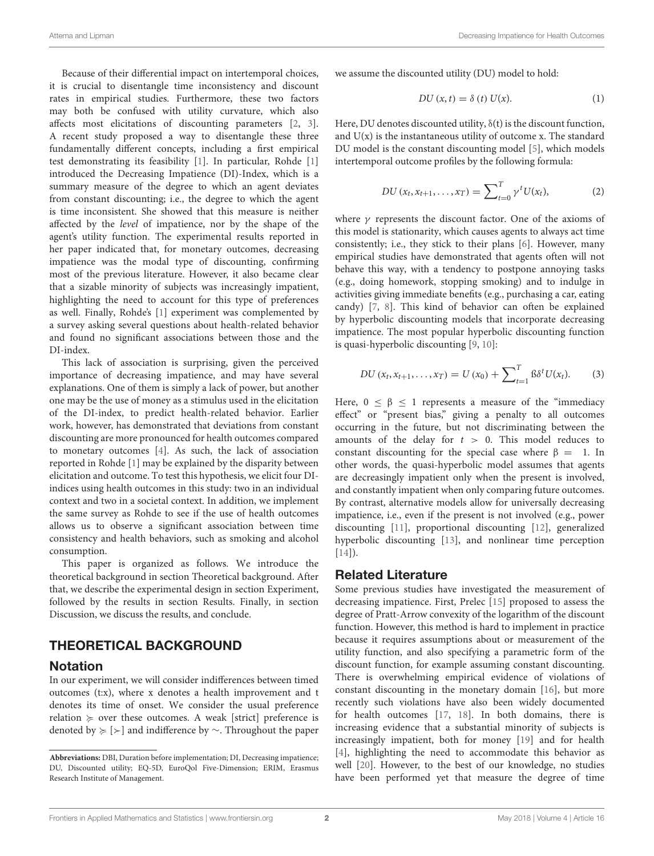Because of their differential impact on intertemporal choices, it is crucial to disentangle time inconsistency and discount rates in empirical studies. Furthermore, these two factors may both be confused with utility curvature, which also affects most elicitations of discounting parameters [\[2,](#page-6-1) [3\]](#page-6-2). A recent study proposed a way to disentangle these three fundamentally different concepts, including a first empirical test demonstrating its feasibility [\[1\]](#page-6-0). In particular, Rohde [\[1\]](#page-6-0) introduced the Decreasing Impatience (DI)-Index, which is a summary measure of the degree to which an agent deviates from constant discounting; i.e., the degree to which the agent is time inconsistent. She showed that this measure is neither affected by the level of impatience, nor by the shape of the agent's utility function. The experimental results reported in her paper indicated that, for monetary outcomes, decreasing impatience was the modal type of discounting, confirming most of the previous literature. However, it also became clear that a sizable minority of subjects was increasingly impatient, highlighting the need to account for this type of preferences as well. Finally, Rohde's [\[1\]](#page-6-0) experiment was complemented by a survey asking several questions about health-related behavior and found no significant associations between those and the DI-index.

This lack of association is surprising, given the perceived importance of decreasing impatience, and may have several explanations. One of them is simply a lack of power, but another one may be the use of money as a stimulus used in the elicitation of the DI-index, to predict health-related behavior. Earlier work, however, has demonstrated that deviations from constant discounting are more pronounced for health outcomes compared to monetary outcomes [\[4\]](#page-6-3). As such, the lack of association reported in Rohde [\[1\]](#page-6-0) may be explained by the disparity between elicitation and outcome. To test this hypothesis, we elicit four DIindices using health outcomes in this study: two in an individual context and two in a societal context. In addition, we implement the same survey as Rohde to see if the use of health outcomes allows us to observe a significant association between time consistency and health behaviors, such as smoking and alcohol consumption.

This paper is organized as follows. We introduce the theoretical background in section Theoretical background. After that, we describe the experimental design in section Experiment, followed by the results in section Results. Finally, in section Discussion, we discuss the results, and conclude.

## THEORETICAL BACKGROUND

#### Notation

In our experiment, we will consider indifferences between timed outcomes (t:x), where x denotes a health improvement and t denotes its time of onset. We consider the usual preference relation  $\succeq$  over these outcomes. A weak [strict] preference is denoted by < [≻] and indifference by ∼. Throughout the paper we assume the discounted utility (DU) model to hold:

$$
DU(x,t) = \delta(t) U(x).
$$
 (1)

Here, DU denotes discounted utility, δ(t) is the discount function, and  $U(x)$  is the instantaneous utility of outcome x. The standard DU model is the constant discounting model [\[5\]](#page-6-4), which models intertemporal outcome profiles by the following formula:

$$
DU(x_t, x_{t+1}, \dots, x_T) = \sum_{t=0}^{T} \gamma^t U(x_t), \tag{2}
$$

where  $\gamma$  represents the discount factor. One of the axioms of this model is stationarity, which causes agents to always act time consistently; i.e., they stick to their plans [\[6\]](#page-6-5). However, many empirical studies have demonstrated that agents often will not behave this way, with a tendency to postpone annoying tasks (e.g., doing homework, stopping smoking) and to indulge in activities giving immediate benefits (e.g., purchasing a car, eating candy) [\[7,](#page-6-6) [8\]](#page-6-7). This kind of behavior can often be explained by hyperbolic discounting models that incorporate decreasing impatience. The most popular hyperbolic discounting function is quasi-hyperbolic discounting [\[9,](#page-6-8) [10\]](#page-6-9):

$$
DU(x_t, x_{t+1}, \ldots, x_T) = U(x_0) + \sum_{t=1}^T \beta \delta^t U(x_t). \tag{3}
$$

Here,  $0 \le \beta \le 1$  represents a measure of the "immediacy" effect" or "present bias," giving a penalty to all outcomes occurring in the future, but not discriminating between the amounts of the delay for  $t > 0$ . This model reduces to constant discounting for the special case where  $\beta = 1$ . In other words, the quasi-hyperbolic model assumes that agents are decreasingly impatient only when the present is involved, and constantly impatient when only comparing future outcomes. By contrast, alternative models allow for universally decreasing impatience, i.e., even if the present is not involved (e.g., power discounting [\[11\]](#page-6-10), proportional discounting [\[12\]](#page-6-11), generalized hyperbolic discounting [\[13\]](#page-6-12), and nonlinear time perception  $[14]$ ).

#### Related Literature

Some previous studies have investigated the measurement of decreasing impatience. First, Prelec [\[15\]](#page-6-14) proposed to assess the degree of Pratt-Arrow convexity of the logarithm of the discount function. However, this method is hard to implement in practice because it requires assumptions about or measurement of the utility function, and also specifying a parametric form of the discount function, for example assuming constant discounting. There is overwhelming empirical evidence of violations of constant discounting in the monetary domain [\[16\]](#page-6-15), but more recently such violations have also been widely documented for health outcomes [\[17,](#page-6-16) [18\]](#page-6-17). In both domains, there is increasing evidence that a substantial minority of subjects is increasingly impatient, both for money [\[19\]](#page-6-18) and for health [\[4\]](#page-6-3), highlighting the need to accommodate this behavior as well [\[20\]](#page-6-19). However, to the best of our knowledge, no studies have been performed yet that measure the degree of time

**Abbreviations:** DBI, Duration before implementation; DI, Decreasing impatience; DU, Discounted utility; EQ-5D, EuroQol Five-Dimension; ERIM, Erasmus Research Institute of Management.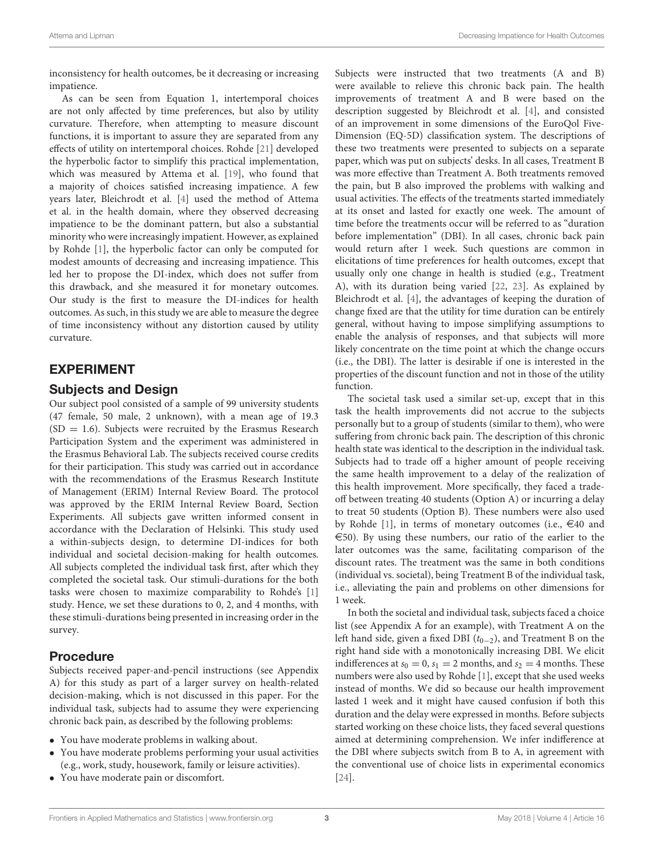inconsistency for health outcomes, be it decreasing or increasing impatience.

As can be seen from Equation 1, intertemporal choices are not only affected by time preferences, but also by utility curvature. Therefore, when attempting to measure discount functions, it is important to assure they are separated from any effects of utility on intertemporal choices. Rohde [\[21\]](#page-6-20) developed the hyperbolic factor to simplify this practical implementation, which was measured by Attema et al. [\[19\]](#page-6-18), who found that a majority of choices satisfied increasing impatience. A few years later, Bleichrodt et al. [\[4\]](#page-6-3) used the method of Attema et al. in the health domain, where they observed decreasing impatience to be the dominant pattern, but also a substantial minority who were increasingly impatient. However, as explained by Rohde [\[1\]](#page-6-0), the hyperbolic factor can only be computed for modest amounts of decreasing and increasing impatience. This led her to propose the DI-index, which does not suffer from this drawback, and she measured it for monetary outcomes. Our study is the first to measure the DI-indices for health outcomes. As such, in this study we are able to measure the degree of time inconsistency without any distortion caused by utility curvature.

## EXPERIMENT

#### Subjects and Design

Our subject pool consisted of a sample of 99 university students (47 female, 50 male, 2 unknown), with a mean age of 19.3  $(SD = 1.6)$ . Subjects were recruited by the Erasmus Research Participation System and the experiment was administered in the Erasmus Behavioral Lab. The subjects received course credits for their participation. This study was carried out in accordance with the recommendations of the Erasmus Research Institute of Management (ERIM) Internal Review Board. The protocol was approved by the ERIM Internal Review Board, Section Experiments. All subjects gave written informed consent in accordance with the Declaration of Helsinki. This study used a within-subjects design, to determine DI-indices for both individual and societal decision-making for health outcomes. All subjects completed the individual task first, after which they completed the societal task. Our stimuli-durations for the both tasks were chosen to maximize comparability to Rohde's [\[1\]](#page-6-0) study. Hence, we set these durations to 0, 2, and 4 months, with these stimuli-durations being presented in increasing order in the survey.

#### Procedure

Subjects received paper-and-pencil instructions (see Appendix A) for this study as part of a larger survey on health-related decision-making, which is not discussed in this paper. For the individual task, subjects had to assume they were experiencing chronic back pain, as described by the following problems:

- You have moderate problems in walking about.
- You have moderate problems performing your usual activities (e.g., work, study, housework, family or leisure activities).
- You have moderate pain or discomfort.

Subjects were instructed that two treatments (A and B) were available to relieve this chronic back pain. The health improvements of treatment A and B were based on the description suggested by Bleichrodt et al. [\[4\]](#page-6-3), and consisted of an improvement in some dimensions of the EuroQol Five-Dimension (EQ-5D) classification system. The descriptions of these two treatments were presented to subjects on a separate paper, which was put on subjects' desks. In all cases, Treatment B was more effective than Treatment A. Both treatments removed the pain, but B also improved the problems with walking and usual activities. The effects of the treatments started immediately at its onset and lasted for exactly one week. The amount of time before the treatments occur will be referred to as "duration before implementation" (DBI). In all cases, chronic back pain would return after 1 week. Such questions are common in elicitations of time preferences for health outcomes, except that usually only one change in health is studied (e.g., Treatment A), with its duration being varied [\[22,](#page-6-21) [23\]](#page-6-22). As explained by Bleichrodt et al. [\[4\]](#page-6-3), the advantages of keeping the duration of change fixed are that the utility for time duration can be entirely general, without having to impose simplifying assumptions to enable the analysis of responses, and that subjects will more likely concentrate on the time point at which the change occurs (i.e., the DBI). The latter is desirable if one is interested in the properties of the discount function and not in those of the utility function.

The societal task used a similar set-up, except that in this task the health improvements did not accrue to the subjects personally but to a group of students (similar to them), who were suffering from chronic back pain. The description of this chronic health state was identical to the description in the individual task. Subjects had to trade off a higher amount of people receiving the same health improvement to a delay of the realization of this health improvement. More specifically, they faced a tradeoff between treating 40 students (Option A) or incurring a delay to treat 50 students (Option B). These numbers were also used by Rohde [\[1\]](#page-6-0), in terms of monetary outcomes (i.e.,  $\in$ 40 and  $\epsilon$ 50). By using these numbers, our ratio of the earlier to the later outcomes was the same, facilitating comparison of the discount rates. The treatment was the same in both conditions (individual vs. societal), being Treatment B of the individual task, i.e., alleviating the pain and problems on other dimensions for 1 week.

In both the societal and individual task, subjects faced a choice list (see Appendix A for an example), with Treatment A on the left hand side, given a fixed DBI ( $t_{0-2}$ ), and Treatment B on the right hand side with a monotonically increasing DBI. We elicit indifferences at  $s_0 = 0$ ,  $s_1 = 2$  months, and  $s_2 = 4$  months. These numbers were also used by Rohde [\[1\]](#page-6-0), except that she used weeks instead of months. We did so because our health improvement lasted 1 week and it might have caused confusion if both this duration and the delay were expressed in months. Before subjects started working on these choice lists, they faced several questions aimed at determining comprehension. We infer indifference at the DBI where subjects switch from B to A, in agreement with the conventional use of choice lists in experimental economics [\[24\]](#page-6-23).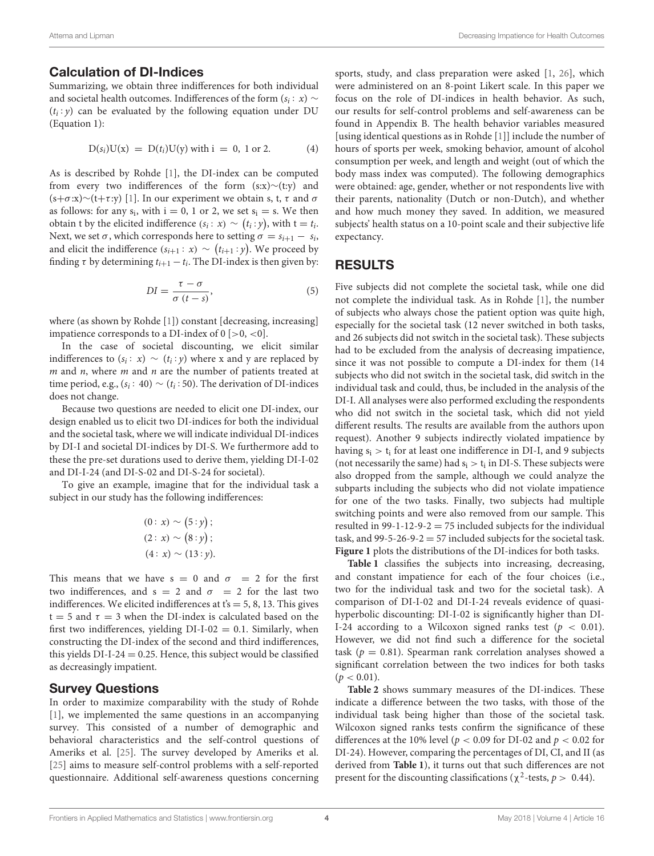#### Calculation of DI-Indices

Summarizing, we obtain three indifferences for both individual and societal health outcomes. Indifferences of the form ( $s_i \colon x) \sim$  $(t<sub>i</sub>: y)$  can be evaluated by the following equation under DU (Equation 1):

$$
D(s_i)U(x) = D(t_i)U(y) \text{ with } i = 0, 1 \text{ or } 2. \tag{4}
$$

As is described by Rohde [\[1\]](#page-6-0), the DI-index can be computed from every two indifferences of the form (s:x)∼(t:y) and (s+ $\sigma$ :x)∼(t+ $\tau$ :y) [\[1\]](#page-6-0). In our experiment we obtain s, t,  $\tau$  and  $\sigma$ as follows: for any  $s_i$ , with  $i = 0$ , 1 or 2, we set  $s_i = s$ . We then obtain t by the elicited indifference  $(s_i: x) \sim (t_i: y)$ , with t = t<sub>i</sub>. Next, we set  $\sigma$ , which corresponds here to setting  $\sigma = s_{i+1} - s_i$ , and elicit the indifference  $(s_{i+1}: x) \sim (t_{i+1}: y)$ . We proceed by finding  $\tau$  by determining  $t_{i+1} - t_i$ . The DI-index is then given by:

$$
DI = \frac{\tau - \sigma}{\sigma (t - s)},\tag{5}
$$

where (as shown by Rohde [\[1\]](#page-6-0)) constant [decreasing, increasing] impatience corresponds to a DI-index of  $0$  [ $> 0$ ,  $< 0$ ].

In the case of societal discounting, we elicit similar indifferences to  $(s_i : x) \sim (t_i : y)$  where x and y are replaced by  $m$  and  $n$ , where  $m$  and  $n$  are the number of patients treated at time period, e.g.,  $(s_i: 40) \sim (t_i: 50)$ . The derivation of DI-indices does not change.

Because two questions are needed to elicit one DI-index, our design enabled us to elicit two DI-indices for both the individual and the societal task, where we will indicate individual DI-indices by DI-I and societal DI-indices by DI-S. We furthermore add to these the pre-set durations used to derive them, yielding DI-I-02 and DI-I-24 (and DI-S-02 and DI-S-24 for societal).

To give an example, imagine that for the individual task a subject in our study has the following indifferences:

$$
(0: x) \sim (5: y);
$$
  
(2: x) \sim (8: y);  
(4: x) \sim (13: y).

This means that we have  $s = 0$  and  $\sigma = 2$  for the first two indifferences, and  $s = 2$  and  $\sigma = 2$  for the last two indifferences. We elicited indifferences at  $t's = 5, 8, 13$ . This gives  $t = 5$  and  $\tau = 3$  when the DI-index is calculated based on the first two indifferences, yielding  $DI-I-02 = 0.1$ . Similarly, when constructing the DI-index of the second and third indifferences, this yields  $DI-I-24 = 0.25$ . Hence, this subject would be classified as decreasingly impatient.

#### Survey Questions

In order to maximize comparability with the study of Rohde [\[1\]](#page-6-0), we implemented the same questions in an accompanying survey. This consisted of a number of demographic and behavioral characteristics and the self-control questions of Ameriks et al. [\[25\]](#page-6-24). The survey developed by Ameriks et al. [\[25\]](#page-6-24) aims to measure self-control problems with a self-reported questionnaire. Additional self-awareness questions concerning sports, study, and class preparation were asked [\[1,](#page-6-0) [26\]](#page-6-25), which were administered on an 8-point Likert scale. In this paper we focus on the role of DI-indices in health behavior. As such, our results for self-control problems and self-awareness can be found in Appendix B. The health behavior variables measured [using identical questions as in Rohde [\[1\]](#page-6-0)] include the number of hours of sports per week, smoking behavior, amount of alcohol consumption per week, and length and weight (out of which the body mass index was computed). The following demographics were obtained: age, gender, whether or not respondents live with their parents, nationality (Dutch or non-Dutch), and whether and how much money they saved. In addition, we measured subjects' health status on a 10-point scale and their subjective life expectancy.

## RESULTS

Five subjects did not complete the societal task, while one did not complete the individual task. As in Rohde [\[1\]](#page-6-0), the number of subjects who always chose the patient option was quite high, especially for the societal task (12 never switched in both tasks, and 26 subjects did not switch in the societal task). These subjects had to be excluded from the analysis of decreasing impatience, since it was not possible to compute a DI-index for them (14 subjects who did not switch in the societal task, did switch in the individual task and could, thus, be included in the analysis of the DI-I. All analyses were also performed excluding the respondents who did not switch in the societal task, which did not yield different results. The results are available from the authors upon request). Another 9 subjects indirectly violated impatience by having  $s_i > t_i$  for at least one indifference in DI-I, and 9 subjects (not necessarily the same) had  $s_i > t_i$  in DI-S. These subjects were also dropped from the sample, although we could analyze the subparts including the subjects who did not violate impatience for one of the two tasks. Finally, two subjects had multiple switching points and were also removed from our sample. This resulted in 99-1-12-9-2 = 75 included subjects for the individual task, and  $99-5-26-9-2 = 57$  included subjects for the societal task. **[Figure 1](#page-4-0)** plots the distributions of the DI-indices for both tasks.

**[Table 1](#page-4-1)** classifies the subjects into increasing, decreasing, and constant impatience for each of the four choices (i.e., two for the individual task and two for the societal task). A comparison of DI-I-02 and DI-I-24 reveals evidence of quasihyperbolic discounting: DI-I-02 is significantly higher than DI-I-24 according to a Wilcoxon signed ranks test ( $p < 0.01$ ). However, we did not find such a difference for the societal task ( $p = 0.81$ ). Spearman rank correlation analyses showed a significant correlation between the two indices for both tasks  $(p < 0.01)$ .

**[Table 2](#page-5-0)** shows summary measures of the DI-indices. These indicate a difference between the two tasks, with those of the individual task being higher than those of the societal task. Wilcoxon signed ranks tests confirm the significance of these differences at the 10% level ( $p < 0.09$  for DI-02 and  $p < 0.02$  for DI-24). However, comparing the percentages of DI, CI, and II (as derived from **[Table 1](#page-4-1)**), it turns out that such differences are not present for the discounting classifications ( $\chi^2$ -tests,  $p > 0.44$ ).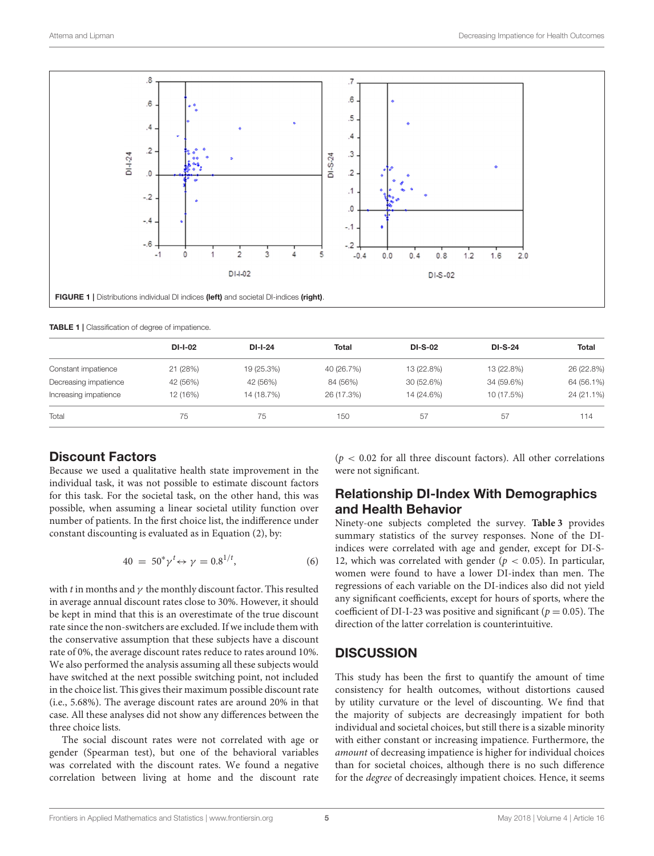

<span id="page-4-1"></span><span id="page-4-0"></span>TABLE 1 | Classification of degree of impatience.

|                       | <b>DI-I-02</b> | $DI-I-24$  | <b>Total</b> | <b>DI-S-02</b> | <b>DI-S-24</b> | <b>Total</b> |
|-----------------------|----------------|------------|--------------|----------------|----------------|--------------|
| Constant impatience   | 21 (28%)       | 19 (25.3%) | 40 (26.7%)   | 13 (22.8%)     | 13 (22.8%)     | 26 (22.8%)   |
| Decreasing impatience | 42 (56%)       | 42 (56%)   | 84 (56%)     | 30 (52.6%)     | 34 (59.6%)     | 64 (56.1%)   |
| Increasing impatience | 12 (16%)       | 14 (18.7%) | 26 (17.3%)   | 14 (24.6%)     | 10 (17.5%)     | 24 (21.1%)   |
| Total                 | 75             | 75         | 150          | 57             | 57             | 114          |

## Discount Factors

Because we used a qualitative health state improvement in the individual task, it was not possible to estimate discount factors for this task. For the societal task, on the other hand, this was possible, when assuming a linear societal utility function over number of patients. In the first choice list, the indifference under constant discounting is evaluated as in Equation (2), by:

$$
40 = 50^* \gamma^t \leftrightarrow \gamma = 0.8^{1/t}, \tag{6}
$$

with t in months and  $\gamma$  the monthly discount factor. This resulted in average annual discount rates close to 30%. However, it should be kept in mind that this is an overestimate of the true discount rate since the non-switchers are excluded. If we include them with the conservative assumption that these subjects have a discount rate of 0%, the average discount rates reduce to rates around 10%. We also performed the analysis assuming all these subjects would have switched at the next possible switching point, not included in the choice list. This gives their maximum possible discount rate (i.e., 5.68%). The average discount rates are around 20% in that case. All these analyses did not show any differences between the three choice lists.

The social discount rates were not correlated with age or gender (Spearman test), but one of the behavioral variables was correlated with the discount rates. We found a negative correlation between living at home and the discount rate ( $p < 0.02$  for all three discount factors). All other correlations were not significant.

## Relationship DI-Index With Demographics and Health Behavior

Ninety-one subjects completed the survey. **[Table 3](#page-5-1)** provides summary statistics of the survey responses. None of the DIindices were correlated with age and gender, except for DI-S-12, which was correlated with gender ( $p < 0.05$ ). In particular, women were found to have a lower DI-index than men. The regressions of each variable on the DI-indices also did not yield any significant coefficients, except for hours of sports, where the coefficient of DI-I-23 was positive and significant ( $p = 0.05$ ). The direction of the latter correlation is counterintuitive.

# **DISCUSSION**

This study has been the first to quantify the amount of time consistency for health outcomes, without distortions caused by utility curvature or the level of discounting. We find that the majority of subjects are decreasingly impatient for both individual and societal choices, but still there is a sizable minority with either constant or increasing impatience. Furthermore, the amount of decreasing impatience is higher for individual choices than for societal choices, although there is no such difference for the degree of decreasingly impatient choices. Hence, it seems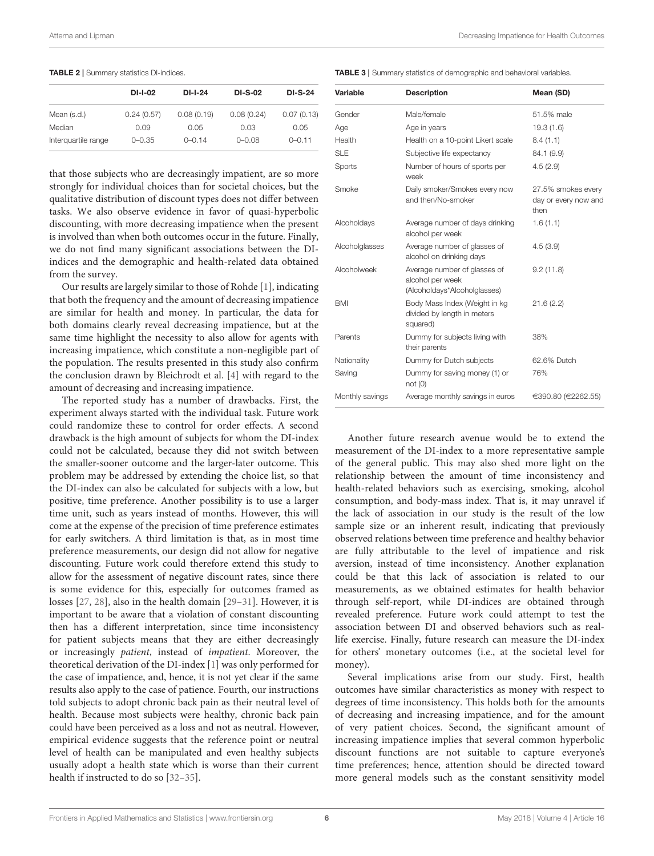#### <span id="page-5-0"></span>TABLE 2 | Summary statistics DI-indices.

|                     | <b>DI-I-02</b> | DI-I-24    | <b>DI-S-02</b> | <b>DI-S-24</b> |
|---------------------|----------------|------------|----------------|----------------|
| Mean (s.d.)         | 0.24(0.57)     | 0.08(0.19) | 0.08(0.24)     | 0.07(0.13)     |
| Median              | 0.09           | 0.05       | 0.03           | 0.05           |
| Interquartile range | $0 - 0.35$     | $0 - 0.14$ | $0 - 0.08$     | $0 - 0.11$     |

that those subjects who are decreasingly impatient, are so more strongly for individual choices than for societal choices, but the qualitative distribution of discount types does not differ between tasks. We also observe evidence in favor of quasi-hyperbolic discounting, with more decreasing impatience when the present is involved than when both outcomes occur in the future. Finally, we do not find many significant associations between the DIindices and the demographic and health-related data obtained from the survey.

Our results are largely similar to those of Rohde [\[1\]](#page-6-0), indicating that both the frequency and the amount of decreasing impatience are similar for health and money. In particular, the data for both domains clearly reveal decreasing impatience, but at the same time highlight the necessity to also allow for agents with increasing impatience, which constitute a non-negligible part of the population. The results presented in this study also confirm the conclusion drawn by Bleichrodt et al. [\[4\]](#page-6-3) with regard to the amount of decreasing and increasing impatience.

The reported study has a number of drawbacks. First, the experiment always started with the individual task. Future work could randomize these to control for order effects. A second drawback is the high amount of subjects for whom the DI-index could not be calculated, because they did not switch between the smaller-sooner outcome and the larger-later outcome. This problem may be addressed by extending the choice list, so that the DI-index can also be calculated for subjects with a low, but positive, time preference. Another possibility is to use a larger time unit, such as years instead of months. However, this will come at the expense of the precision of time preference estimates for early switchers. A third limitation is that, as in most time preference measurements, our design did not allow for negative discounting. Future work could therefore extend this study to allow for the assessment of negative discount rates, since there is some evidence for this, especially for outcomes framed as losses [\[27,](#page-6-26) [28\]](#page-6-27), also in the health domain [\[29–](#page-6-28)[31\]](#page-7-0). However, it is important to be aware that a violation of constant discounting then has a different interpretation, since time inconsistency for patient subjects means that they are either decreasingly or increasingly patient, instead of impatient. Moreover, the theoretical derivation of the DI-index [\[1\]](#page-6-0) was only performed for the case of impatience, and, hence, it is not yet clear if the same results also apply to the case of patience. Fourth, our instructions told subjects to adopt chronic back pain as their neutral level of health. Because most subjects were healthy, chronic back pain could have been perceived as a loss and not as neutral. However, empirical evidence suggests that the reference point or neutral level of health can be manipulated and even healthy subjects usually adopt a health state which is worse than their current health if instructed to do so [\[32](#page-7-1)[–35\]](#page-7-2).

<span id="page-5-1"></span>TABLE 3 | Summary statistics of demographic and behavioral variables.

| Variable        | <b>Description</b>                                                               | Mean (SD)                                          |
|-----------------|----------------------------------------------------------------------------------|----------------------------------------------------|
| Gender          | Male/female                                                                      | 51.5% male                                         |
| Age             | Age in years                                                                     | 19.3(1.6)                                          |
| Health          | Health on a 10-point Likert scale                                                | 8.4(1.1)                                           |
| <b>SLE</b>      | Subjective life expectancy                                                       | 84.1 (9.9)                                         |
| Sports          | Number of hours of sports per<br>week                                            | 4.5(2.9)                                           |
| Smoke           | Daily smoker/Smokes every now<br>and then/No-smoker                              | 27.5% smokes every<br>day or every now and<br>then |
| Alcoholdays     | Average number of days drinking<br>alcohol per week                              | 1.6(1.1)                                           |
| Alcoholglasses  | Average number of glasses of<br>alcohol on drinking days                         | 4.5(3.9)                                           |
| Alcoholweek     | Average number of glasses of<br>alcohol per week<br>(Alcoholdays*Alcoholglasses) | 9.2(11.8)                                          |
| <b>BMI</b>      | Body Mass Index (Weight in kg<br>divided by length in meters<br>squared)         | 21.6(2.2)                                          |
| Parents         | Dummy for subjects living with<br>their parents                                  | 38%                                                |
| Nationality     | Dummy for Dutch subjects                                                         | 62.6% Dutch                                        |
| Saving          | Dummy for saving money (1) or<br>not(0)                                          | 76%                                                |
| Monthly savings | Average monthly savings in euros                                                 | €390.80 (€2262.55)                                 |

Another future research avenue would be to extend the measurement of the DI-index to a more representative sample of the general public. This may also shed more light on the relationship between the amount of time inconsistency and health-related behaviors such as exercising, smoking, alcohol consumption, and body-mass index. That is, it may unravel if the lack of association in our study is the result of the low sample size or an inherent result, indicating that previously observed relations between time preference and healthy behavior are fully attributable to the level of impatience and risk aversion, instead of time inconsistency. Another explanation could be that this lack of association is related to our measurements, as we obtained estimates for health behavior through self-report, while DI-indices are obtained through revealed preference. Future work could attempt to test the association between DI and observed behaviors such as reallife exercise. Finally, future research can measure the DI-index for others' monetary outcomes (i.e., at the societal level for money).

Several implications arise from our study. First, health outcomes have similar characteristics as money with respect to degrees of time inconsistency. This holds both for the amounts of decreasing and increasing impatience, and for the amount of very patient choices. Second, the significant amount of increasing impatience implies that several common hyperbolic discount functions are not suitable to capture everyone's time preferences; hence, attention should be directed toward more general models such as the constant sensitivity model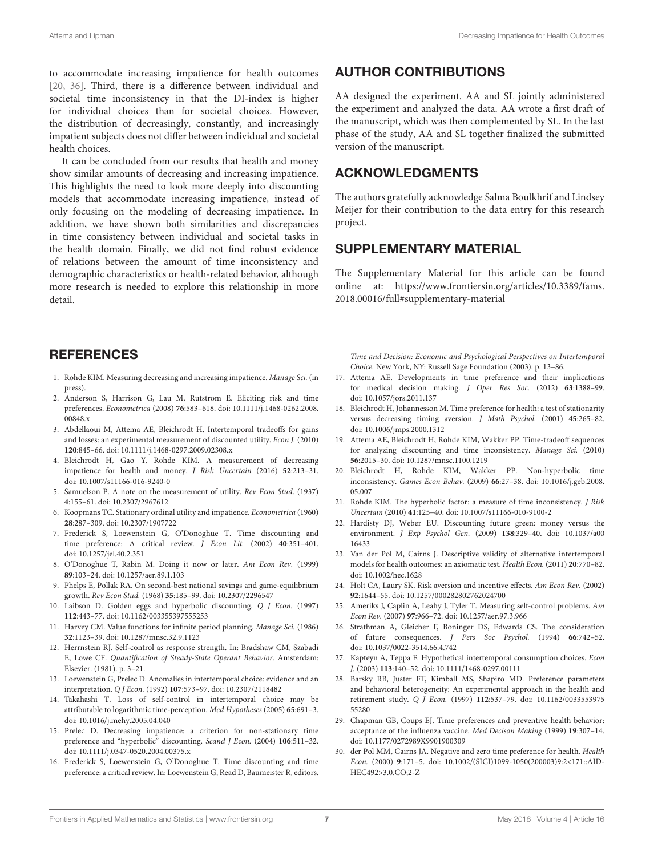to accommodate increasing impatience for health outcomes [\[20,](#page-6-19) [36\]](#page-7-3). Third, there is a difference between individual and societal time inconsistency in that the DI-index is higher for individual choices than for societal choices. However, the distribution of decreasingly, constantly, and increasingly impatient subjects does not differ between individual and societal health choices.

It can be concluded from our results that health and money show similar amounts of decreasing and increasing impatience. This highlights the need to look more deeply into discounting models that accommodate increasing impatience, instead of only focusing on the modeling of decreasing impatience. In addition, we have shown both similarities and discrepancies in time consistency between individual and societal tasks in the health domain. Finally, we did not find robust evidence of relations between the amount of time inconsistency and demographic characteristics or health-related behavior, although more research is needed to explore this relationship in more detail.

## **REFERENCES**

- <span id="page-6-0"></span>1. Rohde KIM. Measuring decreasing and increasing impatience. Manage Sci. (in press).
- <span id="page-6-1"></span>2. Anderson S, Harrison G, Lau M, Rutstrom E. Eliciting risk and time preferences. Econometrica (2008) **76**[:583–618. doi: 10.1111/j.1468-0262.2008.](https://doi.org/10.1111/j.1468-0262.2008.00848.x) 00848.x
- <span id="page-6-2"></span>3. Abdellaoui M, Attema AE, Bleichrodt H. Intertemporal tradeoffs for gains and losses: an experimental measurement of discounted utility. Econ J. (2010) **120**:845–66. doi: [10.1111/j.1468-0297.2009.02308.x](https://doi.org/10.1111/j.1468-0297.2009.02308.x)
- <span id="page-6-3"></span>4. Bleichrodt H, Gao Y, Rohde KIM. A measurement of decreasing impatience for health and money. J Risk Uncertain (2016) **52**:213–31. doi: [10.1007/s11166-016-9240-0](https://doi.org/10.1007/s11166-016-9240-0)
- <span id="page-6-4"></span>5. Samuelson P. A note on the measurement of utility. Rev Econ Stud. (1937) **4**:155–61. doi: [10.2307/2967612](https://doi.org/10.2307/2967612)
- <span id="page-6-5"></span>6. Koopmans TC. Stationary ordinal utility and impatience. Econometrica (1960) **28**:287–309. doi: [10.2307/1907722](https://doi.org/10.2307/1907722)
- <span id="page-6-6"></span>7. Frederick S, Loewenstein G, O'Donoghue T. Time discounting and time preference: A critical review. J Econ Lit. (2002) **40**:351–401. doi: [10.1257/jel.40.2.351](https://doi.org/10.1257/jel.40.2.351)
- <span id="page-6-7"></span>8. O'Donoghue T, Rabin M. Doing it now or later. Am Econ Rev. (1999) **89**:103–24. doi: [10.1257/aer.89.1.103](https://doi.org/10.1257/aer.89.1.103)
- <span id="page-6-8"></span>9. Phelps E, Pollak RA. On second-best national savings and game-equilibrium growth. Rev Econ Stud. (1968) **35**:185–99. doi: [10.2307/2296547](https://doi.org/10.2307/2296547)
- <span id="page-6-9"></span>10. Laibson D. Golden eggs and hyperbolic discounting. Q J Econ. (1997) **112**:443–77. doi: [10.1162/003355397555253](https://doi.org/10.1162/003355397555253)
- <span id="page-6-10"></span>11. Harvey CM. Value functions for infinite period planning. Manage Sci. (1986) **32**:1123–39. doi: [10.1287/mnsc.32.9.1123](https://doi.org/10.1287/mnsc.32.9.1123)
- <span id="page-6-11"></span>12. Herrnstein RJ. Self-control as response strength. In: Bradshaw CM, Szabadi E, Lowe CF. Quantification of Steady-State Operant Behavior. Amsterdam: Elsevier. (1981). p. 3–21.
- <span id="page-6-12"></span>13. Loewenstein G, Prelec D. Anomalies in intertemporal choice: evidence and an interpretation. Q J Econ. (1992) **107**:573–97. doi: [10.2307/2118482](https://doi.org/10.2307/2118482)
- <span id="page-6-13"></span>14. Takahashi T. Loss of self-control in intertemporal choice may be attributable to logarithmic time-perception. Med Hypotheses (2005) **65**:691–3. doi: [10.1016/j.mehy.2005.04.040](https://doi.org/10.1016/j.mehy.2005.04.040)
- <span id="page-6-14"></span>15. Prelec D. Decreasing impatience: a criterion for non-stationary time preference and "hyperbolic" discounting. Scand J Econ. (2004) **106**:511–32. doi: [10.1111/j.0347-0520.2004.00375.x](https://doi.org/10.1111/j.0347-0520.2004.00375.x)
- <span id="page-6-15"></span>16. Frederick S, Loewenstein G, O'Donoghue T. Time discounting and time preference: a critical review. In: Loewenstein G, Read D, Baumeister R, editors.

## AUTHOR CONTRIBUTIONS

AA designed the experiment. AA and SL jointly administered the experiment and analyzed the data. AA wrote a first draft of the manuscript, which was then complemented by SL. In the last phase of the study, AA and SL together finalized the submitted version of the manuscript.

## ACKNOWLEDGMENTS

The authors gratefully acknowledge Salma Boulkhrif and Lindsey Meijer for their contribution to the data entry for this research project.

## SUPPLEMENTARY MATERIAL

The Supplementary Material for this article can be found [online at: https://www.frontiersin.org/articles/10.3389/fams.](https://www.frontiersin.org/articles/10.3389/fams.2018.00016/full#supplementary-material) 2018.00016/full#supplementary-material

Time and Decision: Economic and Psychological Perspectives on Intertemporal Choice. New York, NY: Russell Sage Foundation (2003). p. 13–86.

- <span id="page-6-16"></span>17. Attema AE. Developments in time preference and their implications for medical decision making. J Oper Res Soc. (2012) **63**:1388–99. doi: [10.1057/jors.2011.137](https://doi.org/10.1057/jors.2011.137)
- <span id="page-6-17"></span>18. Bleichrodt H, Johannesson M. Time preference for health: a test of stationarity versus decreasing timing aversion. J Math Psychol. (2001) **45**:265–82. doi: [10.1006/jmps.2000.1312](https://doi.org/10.1006/jmps.2000.1312)
- <span id="page-6-18"></span>19. Attema AE, Bleichrodt H, Rohde KIM, Wakker PP. Time-tradeoff sequences for analyzing discounting and time inconsistency. Manage Sci. (2010) **56**:2015–30. doi: [10.1287/mnsc.1100.1219](https://doi.org/10.1287/mnsc.1100.1219)
- <span id="page-6-19"></span>20. Bleichrodt H, Rohde KIM, Wakker PP. Non-hyperbolic time inconsistency. Games Econ Behav. (2009) **66**[:27–38. doi: 10.1016/j.geb.2008.](https://doi.org/10.1016/j.geb.2008.05.007) 05.007
- <span id="page-6-20"></span>21. Rohde KIM. The hyperbolic factor: a measure of time inconsistency. J Risk Uncertain (2010) **41**:125–40. doi: [10.1007/s11166-010-9100-2](https://doi.org/10.1007/s11166-010-9100-2)
- <span id="page-6-21"></span>22. Hardisty DJ, Weber EU. Discounting future green: money versus the environment. J Exp Psychol Gen. (2009) **138**[:329–40. doi: 10.1037/a00](https://doi.org/10.1037/a0016433) 16433
- <span id="page-6-22"></span>23. Van der Pol M, Cairns J. Descriptive validity of alternative intertemporal models for health outcomes: an axiomatic test. Health Econ. (2011) **20**:770–82. doi: [10.1002/hec.1628](https://doi.org/10.1002/hec.1628)
- <span id="page-6-23"></span>24. Holt CA, Laury SK. Risk aversion and incentive effects. Am Econ Rev. (2002) **92**:1644–55. doi: [10.1257/000282802762024700](https://doi.org/10.1257/000282802762024700)
- <span id="page-6-24"></span>25. Ameriks J, Caplin A, Leahy J, Tyler T. Measuring self-control problems. Am Econ Rev. (2007) **97**:966–72. doi: [10.1257/aer.97.3.966](https://doi.org/10.1257/aer.97.3.966)
- <span id="page-6-25"></span>26. Strathman A, Gleicher F, Boninger DS, Edwards CS. The consideration of future consequences. J Pers Soc Psychol. (1994) **66**:742–52. doi: [10.1037/0022-3514.66.4.742](https://doi.org/10.1037/0022-3514.66.4.742)
- <span id="page-6-26"></span>27. Kapteyn A, Teppa F. Hypothetical intertemporal consumption choices. Econ J. (2003) **113**:140–52. doi: [10.1111/1468-0297.00111](https://doi.org/10.1111/1468-0297.00111)
- <span id="page-6-27"></span>28. Barsky RB, Juster FT, Kimball MS, Shapiro MD. Preference parameters and behavioral heterogeneity: An experimental approach in the health and retirement study. Q J Econ. (1997) **112**[:537–79. doi: 10.1162/0033553975](https://doi.org/10.1162/003355397555280) 55280
- <span id="page-6-28"></span>29. Chapman GB, Coups EJ. Time preferences and preventive health behavior: acceptance of the influenza vaccine. Med Decison Making (1999) **19**:307–14. doi: [10.1177/0272989X9901900309](https://doi.org/10.1177/0272989X9901900309)
- 30. der Pol MM, Cairns JA. Negative and zero time preference for health. Health Econ. (2000) **9**[:171–5. doi: 10.1002/\(SICI\)1099-1050\(200003\)9:2<171::AID-](https://doi.org/10.1002/(SICI)1099-1050(200003)9:2<171::AID-HEC492>3.0.CO;2-Z)HEC492>3.0.CO;2-Z